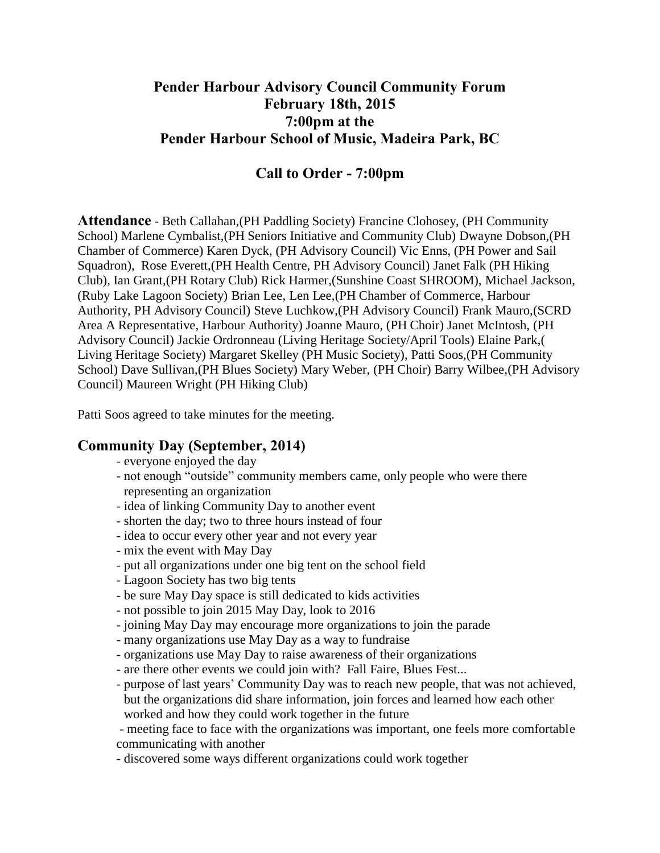# **Pender Harbour Advisory Council Community Forum February 18th, 2015 7:00pm at the Pender Harbour School of Music, Madeira Park, BC**

# **Call to Order - 7:00pm**

**Attendance** - Beth Callahan,(PH Paddling Society) Francine Clohosey, (PH Community School) Marlene Cymbalist,(PH Seniors Initiative and Community Club) Dwayne Dobson,(PH Chamber of Commerce) Karen Dyck, (PH Advisory Council) Vic Enns, (PH Power and Sail Squadron), Rose Everett,(PH Health Centre, PH Advisory Council) Janet Falk (PH Hiking Club), Ian Grant,(PH Rotary Club) Rick Harmer,(Sunshine Coast SHROOM), Michael Jackson, (Ruby Lake Lagoon Society) Brian Lee, Len Lee,(PH Chamber of Commerce, Harbour Authority, PH Advisory Council) Steve Luchkow,(PH Advisory Council) Frank Mauro,(SCRD Area A Representative, Harbour Authority) Joanne Mauro, (PH Choir) Janet McIntosh, (PH Advisory Council) Jackie Ordronneau (Living Heritage Society/April Tools) Elaine Park,( Living Heritage Society) Margaret Skelley (PH Music Society), Patti Soos,(PH Community School) Dave Sullivan,(PH Blues Society) Mary Weber, (PH Choir) Barry Wilbee,(PH Advisory Council) Maureen Wright (PH Hiking Club)

Patti Soos agreed to take minutes for the meeting.

# **Community Day (September, 2014)**

- everyone enjoyed the day
- not enough "outside" community members came, only people who were there representing an organization
- idea of linking Community Day to another event
- shorten the day; two to three hours instead of four
- idea to occur every other year and not every year
- mix the event with May Day
- put all organizations under one big tent on the school field
- Lagoon Society has two big tents
- be sure May Day space is still dedicated to kids activities
- not possible to join 2015 May Day, look to 2016
- joining May Day may encourage more organizations to join the parade
- many organizations use May Day as a way to fundraise
- organizations use May Day to raise awareness of their organizations
- are there other events we could join with? Fall Faire, Blues Fest...
- purpose of last years' Community Day was to reach new people, that was not achieved, but the organizations did share information, join forces and learned how each other worked and how they could work together in the future

- meeting face to face with the organizations was important, one feels more comfortable communicating with another

- discovered some ways different organizations could work together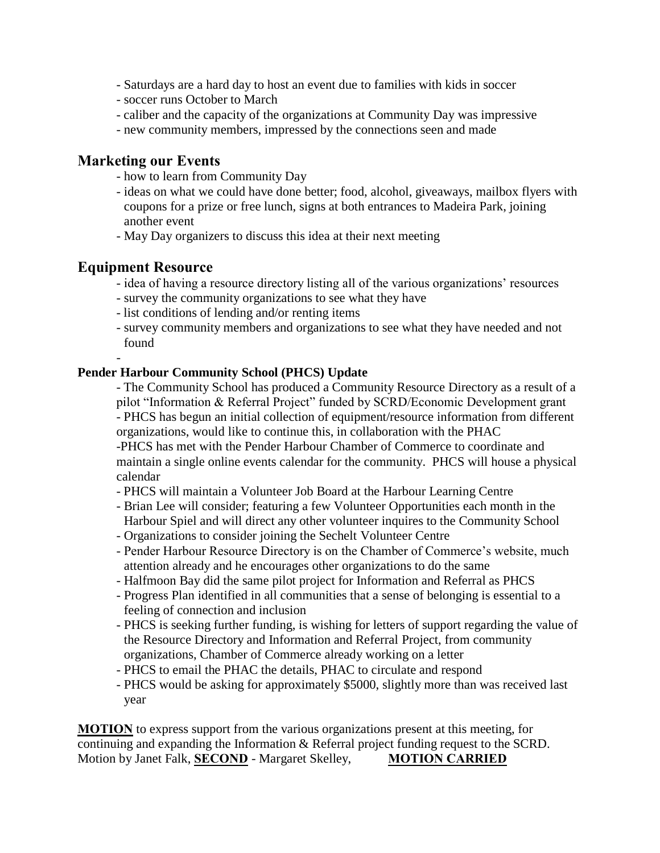- Saturdays are a hard day to host an event due to families with kids in soccer
- soccer runs October to March
- caliber and the capacity of the organizations at Community Day was impressive
- new community members, impressed by the connections seen and made

## **Marketing our Events**

- how to learn from Community Day
- ideas on what we could have done better; food, alcohol, giveaways, mailbox flyers with coupons for a prize or free lunch, signs at both entrances to Madeira Park, joining another event
- May Day organizers to discuss this idea at their next meeting

# **Equipment Resource**

-

- idea of having a resource directory listing all of the various organizations' resources
- survey the community organizations to see what they have
- list conditions of lending and/or renting items
- survey community members and organizations to see what they have needed and not found

## **Pender Harbour Community School (PHCS) Update**

- The Community School has produced a Community Resource Directory as a result of a pilot "Information & Referral Project" funded by SCRD/Economic Development grant - PHCS has begun an initial collection of equipment/resource information from different organizations, would like to continue this, in collaboration with the PHAC -PHCS has met with the Pender Harbour Chamber of Commerce to coordinate and

maintain a single online events calendar for the community. PHCS will house a physical calendar

- PHCS will maintain a Volunteer Job Board at the Harbour Learning Centre
- Brian Lee will consider; featuring a few Volunteer Opportunities each month in the Harbour Spiel and will direct any other volunteer inquires to the Community School
- Organizations to consider joining the Sechelt Volunteer Centre
- Pender Harbour Resource Directory is on the Chamber of Commerce's website, much attention already and he encourages other organizations to do the same
- Halfmoon Bay did the same pilot project for Information and Referral as PHCS
- Progress Plan identified in all communities that a sense of belonging is essential to a feeling of connection and inclusion
- PHCS is seeking further funding, is wishing for letters of support regarding the value of the Resource Directory and Information and Referral Project, from community organizations, Chamber of Commerce already working on a letter
- PHCS to email the PHAC the details, PHAC to circulate and respond
- PHCS would be asking for approximately \$5000, slightly more than was received last year

**MOTION** to express support from the various organizations present at this meeting, for continuing and expanding the Information & Referral project funding request to the SCRD. Motion by Janet Falk, **SECOND** - Margaret Skelley, **MOTION CARRIED**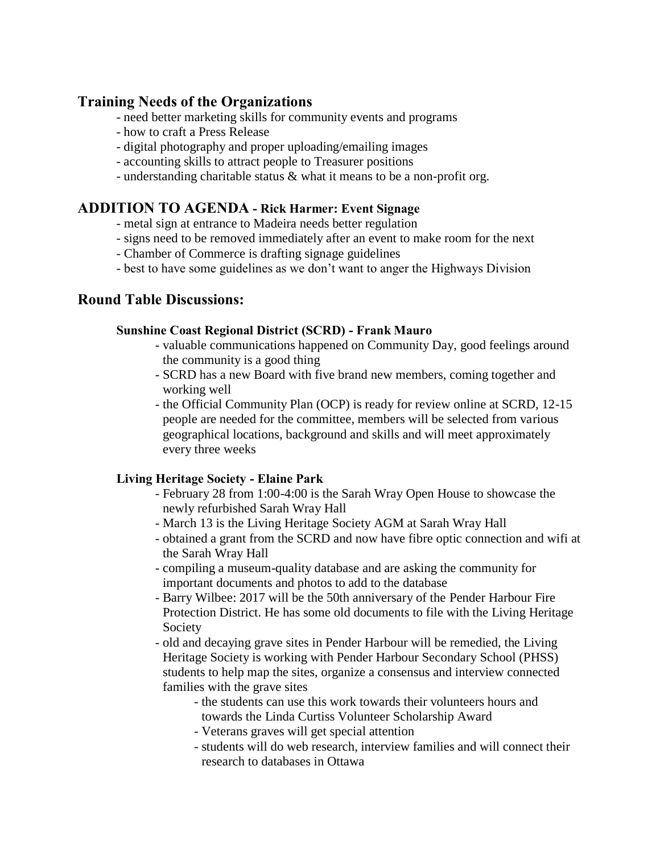# **Training Needs of the Organizations**

- need better marketing skills for community events and programs
- how to craft a Press Release
- digital photography and proper uploading/emailing images
- accounting skills to attract people to Treasurer positions
- understanding charitable status & what it means to be a non-profit org.

# **ADDITION TO AGENDA - Rick Harmer: Event Signage**

- metal sign at entrance to Madeira needs better regulation
- signs need to be removed immediately after an event to make room for the next
- Chamber of Commerce is drafting signage guidelines
- best to have some guidelines as we don't want to anger the Highways Division

# **Round Table Discussions:**

## **Sunshine Coast Regional District (SCRD) - Frank Mauro**

- valuable communications happened on Community Day, good feelings around the community is a good thing
- SCRD has a new Board with five brand new members, coming together and working well
- the Official Community Plan (OCP) is ready for review online at SCRD, 12-15 people are needed for the committee, members will be selected from various geographical locations, background and skills and will meet approximately every three weeks

## **Living Heritage Society - Elaine Park**

- February 28 from 1:00-4:00 is the Sarah Wray Open House to showcase the newly refurbished Sarah Wray Hall
- March 13 is the Living Heritage Society AGM at Sarah Wray Hall
- obtained a grant from the SCRD and now have fibre optic connection and wifi at the Sarah Wray Hall
- compiling a museum-quality database and are asking the community for important documents and photos to add to the database
- Barry Wilbee: 2017 will be the 50th anniversary of the Pender Harbour Fire Protection District. He has some old documents to file with the Living Heritage Society
- old and decaying grave sites in Pender Harbour will be remedied, the Living Heritage Society is working with Pender Harbour Secondary School (PHSS) students to help map the sites, organize a consensus and interview connected families with the grave sites
	- the students can use this work towards their volunteers hours and towards the Linda Curtiss Volunteer Scholarship Award
	- Veterans graves will get special attention
	- students will do web research, interview families and will connect their research to databases in Ottawa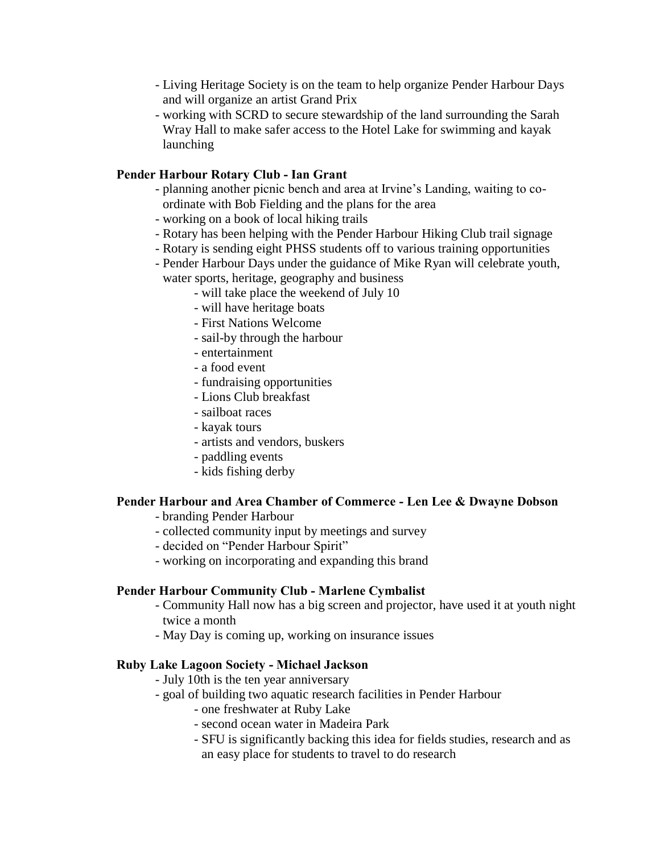- Living Heritage Society is on the team to help organize Pender Harbour Days and will organize an artist Grand Prix
- working with SCRD to secure stewardship of the land surrounding the Sarah Wray Hall to make safer access to the Hotel Lake for swimming and kayak launching

## **Pender Harbour Rotary Club - Ian Grant**

- planning another picnic bench and area at Irvine's Landing, waiting to coordinate with Bob Fielding and the plans for the area
- working on a book of local hiking trails
- Rotary has been helping with the Pender Harbour Hiking Club trail signage
- Rotary is sending eight PHSS students off to various training opportunities
- Pender Harbour Days under the guidance of Mike Ryan will celebrate youth, water sports, heritage, geography and business
	- will take place the weekend of July 10
	- will have heritage boats
	- First Nations Welcome
	- sail-by through the harbour
	- entertainment
	- a food event
	- fundraising opportunities
	- Lions Club breakfast
	- sailboat races
	- kayak tours
	- artists and vendors, buskers
	- paddling events
	- kids fishing derby

## **Pender Harbour and Area Chamber of Commerce - Len Lee & Dwayne Dobson**

- branding Pender Harbour
- collected community input by meetings and survey
- decided on "Pender Harbour Spirit"
- working on incorporating and expanding this brand

## **Pender Harbour Community Club - Marlene Cymbalist**

- Community Hall now has a big screen and projector, have used it at youth night twice a month
- May Day is coming up, working on insurance issues

#### **Ruby Lake Lagoon Society - Michael Jackson**

- July 10th is the ten year anniversary
- goal of building two aquatic research facilities in Pender Harbour
	- one freshwater at Ruby Lake
	- second ocean water in Madeira Park
	- SFU is significantly backing this idea for fields studies, research and as an easy place for students to travel to do research